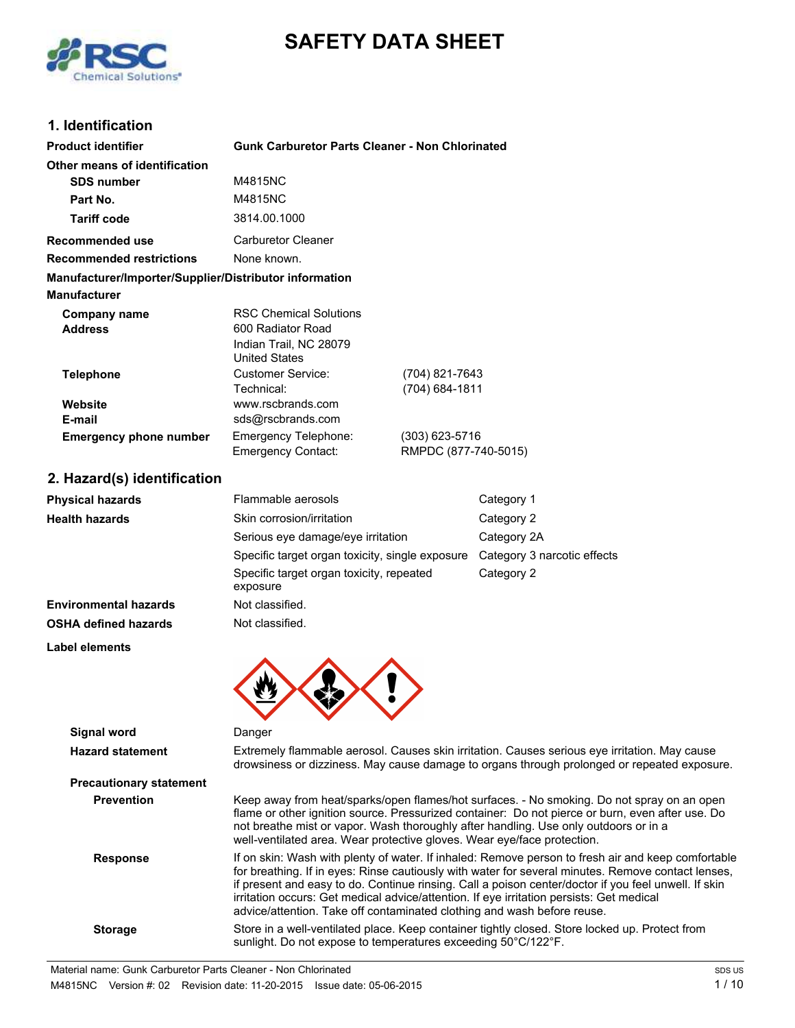# **SAFETY DATA SHEET**



### **1. Identification**

| Product identifier                                     | <b>Gunk Carburetor Parts Cleaner - Non Chlorinated</b>                                                                                                                                                                                                                                                                                                                                                                                                                                  |                                          |                                                                                                                                                                                              |
|--------------------------------------------------------|-----------------------------------------------------------------------------------------------------------------------------------------------------------------------------------------------------------------------------------------------------------------------------------------------------------------------------------------------------------------------------------------------------------------------------------------------------------------------------------------|------------------------------------------|----------------------------------------------------------------------------------------------------------------------------------------------------------------------------------------------|
| Other means of identification                          |                                                                                                                                                                                                                                                                                                                                                                                                                                                                                         |                                          |                                                                                                                                                                                              |
| <b>SDS number</b>                                      | M4815NC                                                                                                                                                                                                                                                                                                                                                                                                                                                                                 |                                          |                                                                                                                                                                                              |
| Part No.                                               | M4815NC                                                                                                                                                                                                                                                                                                                                                                                                                                                                                 |                                          |                                                                                                                                                                                              |
| <b>Tariff code</b>                                     | 3814.00.1000                                                                                                                                                                                                                                                                                                                                                                                                                                                                            |                                          |                                                                                                                                                                                              |
| Recommended use                                        | <b>Carburetor Cleaner</b>                                                                                                                                                                                                                                                                                                                                                                                                                                                               |                                          |                                                                                                                                                                                              |
| <b>Recommended restrictions</b>                        | None known.                                                                                                                                                                                                                                                                                                                                                                                                                                                                             |                                          |                                                                                                                                                                                              |
| Manufacturer/Importer/Supplier/Distributor information |                                                                                                                                                                                                                                                                                                                                                                                                                                                                                         |                                          |                                                                                                                                                                                              |
| <b>Manufacturer</b>                                    |                                                                                                                                                                                                                                                                                                                                                                                                                                                                                         |                                          |                                                                                                                                                                                              |
| <b>Company name</b><br><b>Address</b>                  | <b>RSC Chemical Solutions</b><br>600 Radiator Road<br>Indian Trail, NC 28079<br><b>United States</b>                                                                                                                                                                                                                                                                                                                                                                                    |                                          |                                                                                                                                                                                              |
| <b>Telephone</b>                                       | <b>Customer Service:</b><br>Technical:                                                                                                                                                                                                                                                                                                                                                                                                                                                  | (704) 821-7643<br>(704) 684-1811         |                                                                                                                                                                                              |
| Website                                                | www.rscbrands.com                                                                                                                                                                                                                                                                                                                                                                                                                                                                       |                                          |                                                                                                                                                                                              |
| E-mail                                                 | sds@rscbrands.com                                                                                                                                                                                                                                                                                                                                                                                                                                                                       |                                          |                                                                                                                                                                                              |
| <b>Emergency phone number</b>                          | Emergency Telephone:<br><b>Emergency Contact:</b>                                                                                                                                                                                                                                                                                                                                                                                                                                       | $(303)$ 623-5716<br>RMPDC (877-740-5015) |                                                                                                                                                                                              |
| 2. Hazard(s) identification                            |                                                                                                                                                                                                                                                                                                                                                                                                                                                                                         |                                          |                                                                                                                                                                                              |
| Physical hazards                                       | Flammable aerosols                                                                                                                                                                                                                                                                                                                                                                                                                                                                      |                                          | Category 1                                                                                                                                                                                   |
| <b>Health hazards</b>                                  | Skin corrosion/irritation                                                                                                                                                                                                                                                                                                                                                                                                                                                               |                                          | Category 2                                                                                                                                                                                   |
|                                                        | Serious eye damage/eye irritation                                                                                                                                                                                                                                                                                                                                                                                                                                                       |                                          | Category 2A                                                                                                                                                                                  |
|                                                        | Specific target organ toxicity, single exposure                                                                                                                                                                                                                                                                                                                                                                                                                                         |                                          | Category 3 narcotic effects                                                                                                                                                                  |
|                                                        | Specific target organ toxicity, repeated<br>exposure                                                                                                                                                                                                                                                                                                                                                                                                                                    |                                          | Category 2                                                                                                                                                                                   |
| <b>Environmental hazards</b>                           | Not classified.                                                                                                                                                                                                                                                                                                                                                                                                                                                                         |                                          |                                                                                                                                                                                              |
| <b>OSHA defined hazards</b>                            | Not classified.                                                                                                                                                                                                                                                                                                                                                                                                                                                                         |                                          |                                                                                                                                                                                              |
| Label elements                                         |                                                                                                                                                                                                                                                                                                                                                                                                                                                                                         |                                          |                                                                                                                                                                                              |
|                                                        |                                                                                                                                                                                                                                                                                                                                                                                                                                                                                         |                                          |                                                                                                                                                                                              |
| <b>Signal word</b>                                     | Danger                                                                                                                                                                                                                                                                                                                                                                                                                                                                                  |                                          |                                                                                                                                                                                              |
| <b>Hazard statement</b>                                |                                                                                                                                                                                                                                                                                                                                                                                                                                                                                         |                                          | Extremely flammable aerosol. Causes skin irritation. Causes serious eye irritation. May cause<br>drowsiness or dizziness. May cause damage to organs through prolonged or repeated exposure. |
| <b>Precautionary statement</b>                         |                                                                                                                                                                                                                                                                                                                                                                                                                                                                                         |                                          |                                                                                                                                                                                              |
| <b>Prevention</b>                                      | Keep away from heat/sparks/open flames/hot surfaces. - No smoking. Do not spray on an open<br>flame or other ignition source. Pressurized container: Do not pierce or burn, even after use. Do<br>not breathe mist or vapor. Wash thoroughly after handling. Use only outdoors or in a<br>well-ventilated area. Wear protective gloves. Wear eye/face protection.                                                                                                                       |                                          |                                                                                                                                                                                              |
| <b>Response</b>                                        | If on skin: Wash with plenty of water. If inhaled: Remove person to fresh air and keep comfortable<br>for breathing. If in eyes: Rinse cautiously with water for several minutes. Remove contact lenses,<br>if present and easy to do. Continue rinsing. Call a poison center/doctor if you feel unwell. If skin<br>irritation occurs: Get medical advice/attention. If eye irritation persists: Get medical<br>advice/attention. Take off contaminated clothing and wash before reuse. |                                          |                                                                                                                                                                                              |
| <b>Storage</b>                                         | Store in a well-ventilated place. Keep container tightly closed. Store locked up. Protect from<br>sunlight. Do not expose to temperatures exceeding 50°C/122°F.                                                                                                                                                                                                                                                                                                                         |                                          |                                                                                                                                                                                              |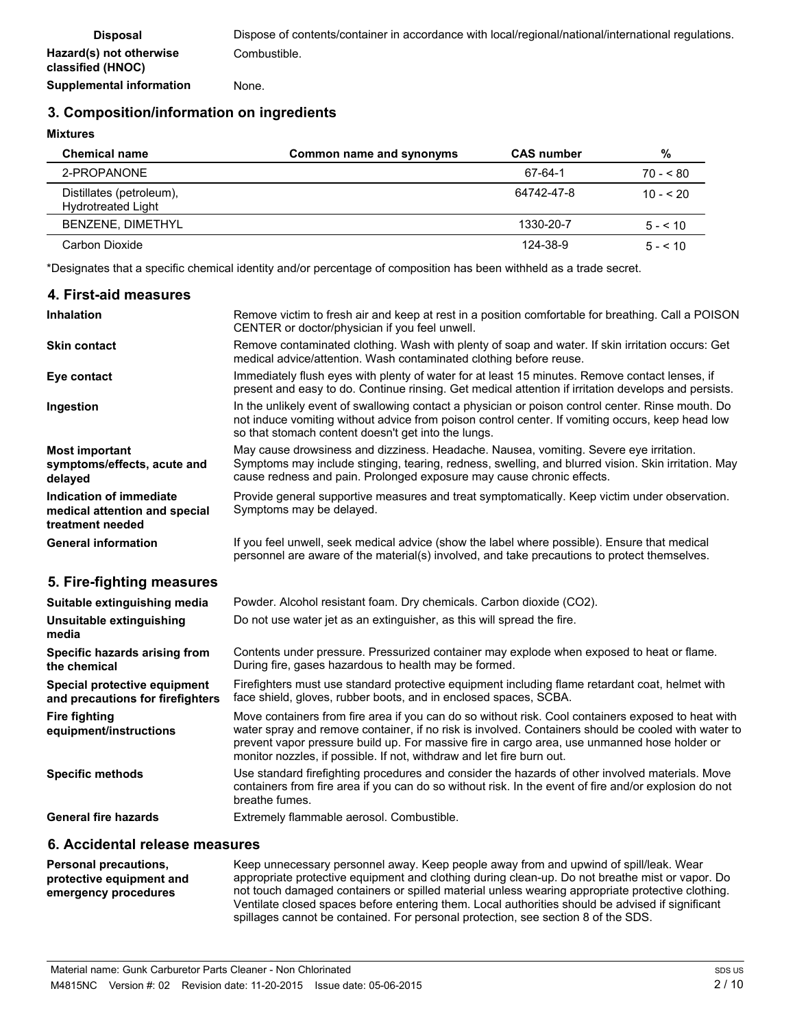# **3. Composition/information on ingredients**

**Mixtures**

| <b>Chemical name</b>                                  | Common name and synonyms | <b>CAS number</b> | %            |
|-------------------------------------------------------|--------------------------|-------------------|--------------|
| 2-PROPANONE                                           |                          | 67-64-1           | $70 - 80$    |
| Distillates (petroleum),<br><b>Hydrotreated Light</b> |                          | 64742-47-8        | $10 - 520$   |
| BENZENE, DIMETHYL                                     |                          | 1330-20-7         | $5 - 510$    |
| Carbon Dioxide                                        |                          | 124-38-9          | $5 - 5 = 10$ |

\*Designates that a specific chemical identity and/or percentage of composition has been withheld as a trade secret.

| 4. First-aid measures                                                        |                                                                                                                                                                                                                                                                                                                                                                                    |
|------------------------------------------------------------------------------|------------------------------------------------------------------------------------------------------------------------------------------------------------------------------------------------------------------------------------------------------------------------------------------------------------------------------------------------------------------------------------|
| <b>Inhalation</b>                                                            | Remove victim to fresh air and keep at rest in a position comfortable for breathing. Call a POISON<br>CENTER or doctor/physician if you feel unwell.                                                                                                                                                                                                                               |
| <b>Skin contact</b>                                                          | Remove contaminated clothing. Wash with plenty of soap and water. If skin irritation occurs: Get<br>medical advice/attention. Wash contaminated clothing before reuse.                                                                                                                                                                                                             |
| Eye contact                                                                  | Immediately flush eyes with plenty of water for at least 15 minutes. Remove contact lenses, if<br>present and easy to do. Continue rinsing. Get medical attention if irritation develops and persists.                                                                                                                                                                             |
| Ingestion                                                                    | In the unlikely event of swallowing contact a physician or poison control center. Rinse mouth. Do<br>not induce vomiting without advice from poison control center. If vomiting occurs, keep head low<br>so that stomach content doesn't get into the lungs.                                                                                                                       |
| <b>Most important</b><br>symptoms/effects, acute and<br>delayed              | May cause drowsiness and dizziness. Headache. Nausea, vomiting. Severe eye irritation.<br>Symptoms may include stinging, tearing, redness, swelling, and blurred vision. Skin irritation. May<br>cause redness and pain. Prolonged exposure may cause chronic effects.                                                                                                             |
| Indication of immediate<br>medical attention and special<br>treatment needed | Provide general supportive measures and treat symptomatically. Keep victim under observation.<br>Symptoms may be delayed.                                                                                                                                                                                                                                                          |
| <b>General information</b>                                                   | If you feel unwell, seek medical advice (show the label where possible). Ensure that medical<br>personnel are aware of the material(s) involved, and take precautions to protect themselves.                                                                                                                                                                                       |
| 5. Fire-fighting measures                                                    |                                                                                                                                                                                                                                                                                                                                                                                    |
| Suitable extinguishing media                                                 | Powder. Alcohol resistant foam. Dry chemicals. Carbon dioxide (CO2).                                                                                                                                                                                                                                                                                                               |
| Unsuitable extinguishing<br>media                                            | Do not use water jet as an extinguisher, as this will spread the fire.                                                                                                                                                                                                                                                                                                             |
| Specific hazards arising from<br>the chemical                                | Contents under pressure. Pressurized container may explode when exposed to heat or flame.<br>During fire, gases hazardous to health may be formed.                                                                                                                                                                                                                                 |
| Special protective equipment<br>and precautions for firefighters             | Firefighters must use standard protective equipment including flame retardant coat, helmet with<br>face shield, gloves, rubber boots, and in enclosed spaces, SCBA.                                                                                                                                                                                                                |
| <b>Fire fighting</b><br>equipment/instructions                               | Move containers from fire area if you can do so without risk. Cool containers exposed to heat with<br>water spray and remove container, if no risk is involved. Containers should be cooled with water to<br>prevent vapor pressure build up. For massive fire in cargo area, use unmanned hose holder or<br>monitor nozzles, if possible. If not, withdraw and let fire burn out. |
| <b>Specific methods</b>                                                      | Use standard firefighting procedures and consider the hazards of other involved materials. Move<br>containers from fire area if you can do so without risk. In the event of fire and/or explosion do not<br>breathe fumes.                                                                                                                                                         |
| <b>General fire hazards</b>                                                  | Extremely flammable aerosol. Combustible.                                                                                                                                                                                                                                                                                                                                          |

## **6. Accidental release measures**

Keep unnecessary personnel away. Keep people away from and upwind of spill/leak. Wear appropriate protective equipment and clothing during clean-up. Do not breathe mist or vapor. Do not touch damaged containers or spilled material unless wearing appropriate protective clothing. Ventilate closed spaces before entering them. Local authorities should be advised if significant spillages cannot be contained. For personal protection, see section 8 of the SDS. **Personal precautions, protective equipment and emergency procedures**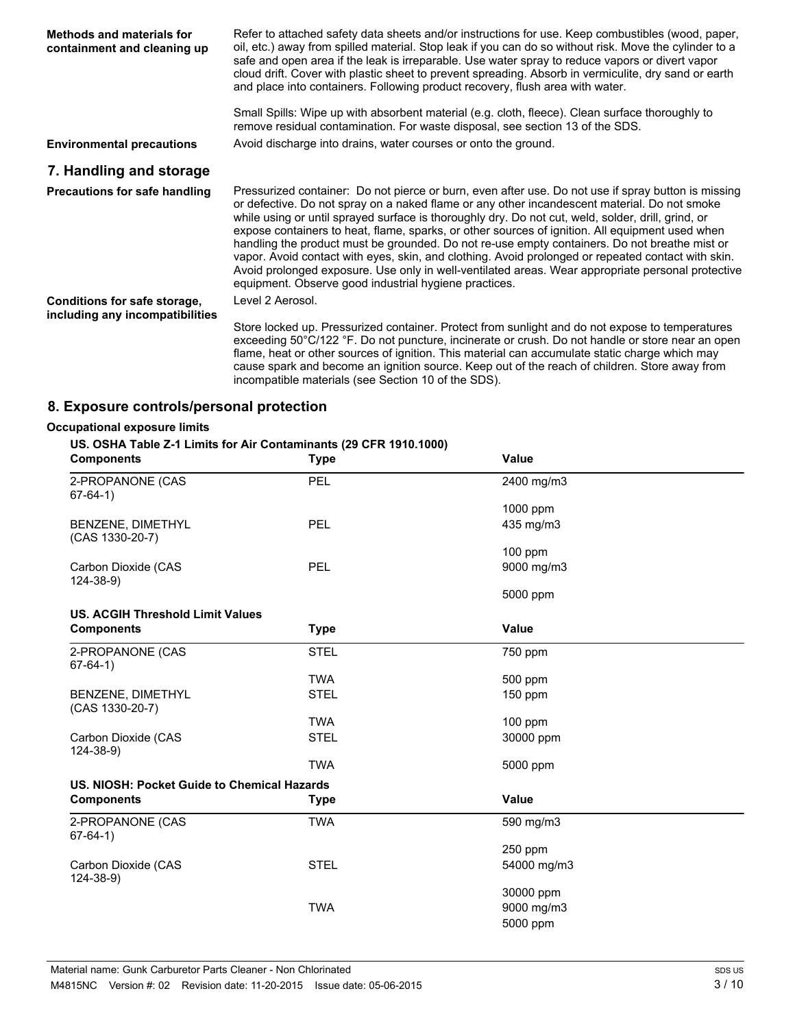| <b>Methods and materials for</b><br>containment and cleaning up | Refer to attached safety data sheets and/or instructions for use. Keep combustibles (wood, paper,<br>oil, etc.) away from spilled material. Stop leak if you can do so without risk. Move the cylinder to a<br>safe and open area if the leak is irreparable. Use water spray to reduce vapors or divert vapor<br>cloud drift. Cover with plastic sheet to prevent spreading. Absorb in vermiculite, dry sand or earth<br>and place into containers. Following product recovery, flush area with water.                                                                                                                                                                                                                                                                           |
|-----------------------------------------------------------------|-----------------------------------------------------------------------------------------------------------------------------------------------------------------------------------------------------------------------------------------------------------------------------------------------------------------------------------------------------------------------------------------------------------------------------------------------------------------------------------------------------------------------------------------------------------------------------------------------------------------------------------------------------------------------------------------------------------------------------------------------------------------------------------|
|                                                                 | Small Spills: Wipe up with absorbent material (e.g. cloth, fleece). Clean surface thoroughly to<br>remove residual contamination. For waste disposal, see section 13 of the SDS.                                                                                                                                                                                                                                                                                                                                                                                                                                                                                                                                                                                                  |
| <b>Environmental precautions</b>                                | Avoid discharge into drains, water courses or onto the ground.                                                                                                                                                                                                                                                                                                                                                                                                                                                                                                                                                                                                                                                                                                                    |
| 7. Handling and storage                                         |                                                                                                                                                                                                                                                                                                                                                                                                                                                                                                                                                                                                                                                                                                                                                                                   |
| <b>Precautions for safe handling</b>                            | Pressurized container: Do not pierce or burn, even after use. Do not use if spray button is missing<br>or defective. Do not spray on a naked flame or any other incandescent material. Do not smoke<br>while using or until sprayed surface is thoroughly dry. Do not cut, weld, solder, drill, grind, or<br>expose containers to heat, flame, sparks, or other sources of ignition. All equipment used when<br>handling the product must be grounded. Do not re-use empty containers. Do not breathe mist or<br>vapor. Avoid contact with eyes, skin, and clothing. Avoid prolonged or repeated contact with skin.<br>Avoid prolonged exposure. Use only in well-ventilated areas. Wear appropriate personal protective<br>equipment. Observe good industrial hygiene practices. |
| Conditions for safe storage,<br>including any incompatibilities | Level 2 Aerosol.                                                                                                                                                                                                                                                                                                                                                                                                                                                                                                                                                                                                                                                                                                                                                                  |
|                                                                 | Store locked up. Pressurized container. Protect from sunlight and do not expose to temperatures<br>exceeding 50°C/122 °F. Do not puncture, incinerate or crush. Do not handle or store near an open<br>flame, heat or other sources of ignition. This material can accumulate static charge which may<br>cause spark and become an ignition source. Keep out of the reach of children. Store away from<br>incompatible materials (see Section 10 of the SDS).                                                                                                                                                                                                                                                                                                                     |

# **8. Exposure controls/personal protection**

### **Occupational exposure limits**

# **US. OSHA Table Z-1 Limits for Air Contaminants (29 CFR 1910.1000)**

| <b>Components</b>                           | Type        | Value        |  |
|---------------------------------------------|-------------|--------------|--|
| 2-PROPANONE (CAS<br>$67-64-1)$              | PEL         | 2400 mg/m3   |  |
|                                             |             | 1000 ppm     |  |
| BENZENE, DIMETHYL<br>(CAS 1330-20-7)        | <b>PEL</b>  | 435 mg/m3    |  |
|                                             |             | 100 ppm      |  |
| Carbon Dioxide (CAS<br>$124 - 38 - 9$       | <b>PEL</b>  | 9000 mg/m3   |  |
|                                             |             | 5000 ppm     |  |
| <b>US. ACGIH Threshold Limit Values</b>     |             |              |  |
| <b>Components</b>                           | <b>Type</b> | <b>Value</b> |  |
| 2-PROPANONE (CAS<br>$67-64-1)$              | <b>STEL</b> | 750 ppm      |  |
|                                             | <b>TWA</b>  | 500 ppm      |  |
| BENZENE, DIMETHYL<br>(CAS 1330-20-7)        | <b>STEL</b> | $150$ ppm    |  |
|                                             | <b>TWA</b>  | $100$ ppm    |  |
| Carbon Dioxide (CAS<br>$124 - 38 - 9$       | <b>STEL</b> | 30000 ppm    |  |
|                                             | <b>TWA</b>  | 5000 ppm     |  |
| US. NIOSH: Pocket Guide to Chemical Hazards |             |              |  |
| <b>Components</b>                           | <b>Type</b> | <b>Value</b> |  |
| 2-PROPANONE (CAS<br>$67-64-1)$              | <b>TWA</b>  | 590 mg/m3    |  |
|                                             |             | 250 ppm      |  |
| Carbon Dioxide (CAS<br>$124 - 38 - 9$       | <b>STEL</b> | 54000 mg/m3  |  |
|                                             |             | 30000 ppm    |  |
|                                             | <b>TWA</b>  | 9000 mg/m3   |  |
|                                             |             | 5000 ppm     |  |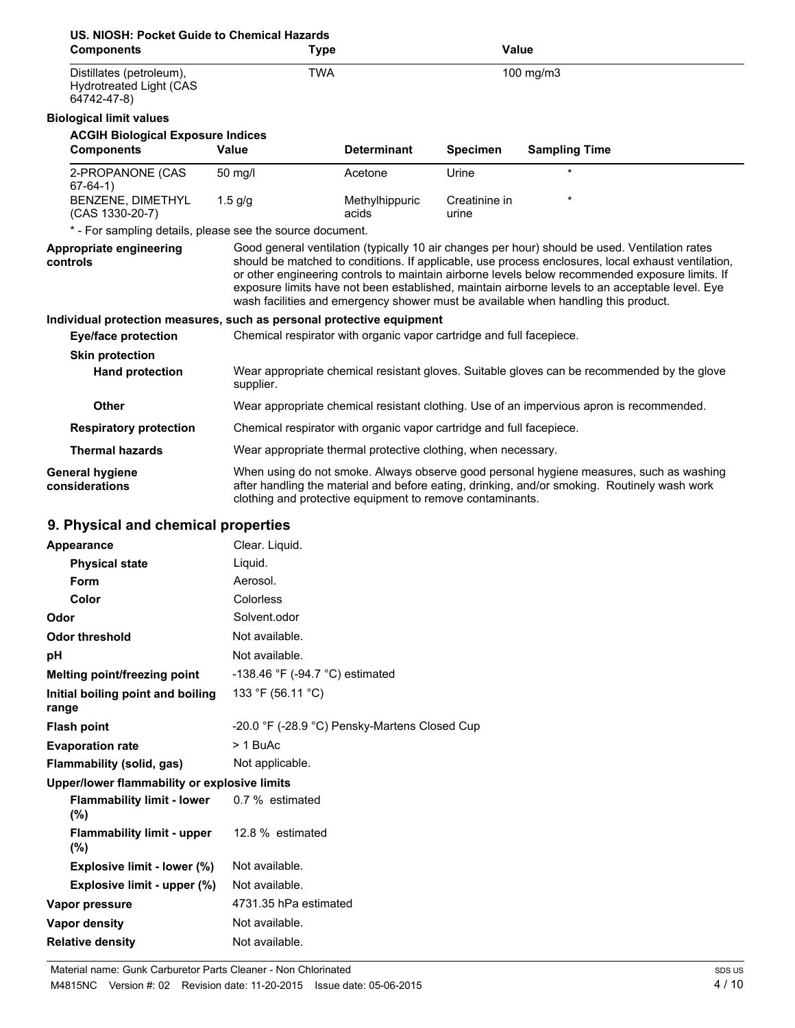| US. NIOSH: Pocket Guide to Chemical Hazards<br><b>Components</b>          | Type                                                                                     |                         | <b>Value</b>           |                                                                                                                                                                                                                                                                                                                                                                                                                                                                                                  |  |
|---------------------------------------------------------------------------|------------------------------------------------------------------------------------------|-------------------------|------------------------|--------------------------------------------------------------------------------------------------------------------------------------------------------------------------------------------------------------------------------------------------------------------------------------------------------------------------------------------------------------------------------------------------------------------------------------------------------------------------------------------------|--|
| Distillates (petroleum),<br><b>Hydrotreated Light (CAS</b><br>64742-47-8) | <b>TWA</b>                                                                               |                         |                        | 100 mg/m3                                                                                                                                                                                                                                                                                                                                                                                                                                                                                        |  |
| <b>Biological limit values</b>                                            |                                                                                          |                         |                        |                                                                                                                                                                                                                                                                                                                                                                                                                                                                                                  |  |
| <b>ACGIH Biological Exposure Indices</b>                                  |                                                                                          |                         |                        |                                                                                                                                                                                                                                                                                                                                                                                                                                                                                                  |  |
| <b>Components</b>                                                         | Value                                                                                    | <b>Determinant</b>      | <b>Specimen</b>        | <b>Sampling Time</b>                                                                                                                                                                                                                                                                                                                                                                                                                                                                             |  |
| 2-PROPANONE (CAS<br>$67-64-1)$                                            | 50 mg/l                                                                                  | Acetone                 | Urine                  | $\star$                                                                                                                                                                                                                                                                                                                                                                                                                                                                                          |  |
| BENZENE, DIMETHYL<br>(CAS 1330-20-7)                                      | $1.5$ g/g                                                                                | Methylhippuric<br>acids | Creatinine in<br>urine |                                                                                                                                                                                                                                                                                                                                                                                                                                                                                                  |  |
| * - For sampling details, please see the source document.                 |                                                                                          |                         |                        |                                                                                                                                                                                                                                                                                                                                                                                                                                                                                                  |  |
| Appropriate engineering<br>controls                                       |                                                                                          |                         |                        | Good general ventilation (typically 10 air changes per hour) should be used. Ventilation rates<br>should be matched to conditions. If applicable, use process enclosures, local exhaust ventilation,<br>or other engineering controls to maintain airborne levels below recommended exposure limits. If<br>exposure limits have not been established, maintain airborne levels to an acceptable level. Eye<br>wash facilities and emergency shower must be available when handling this product. |  |
| Individual protection measures, such as personal protective equipment     |                                                                                          |                         |                        |                                                                                                                                                                                                                                                                                                                                                                                                                                                                                                  |  |
| <b>Eye/face protection</b>                                                | Chemical respirator with organic vapor cartridge and full facepiece.                     |                         |                        |                                                                                                                                                                                                                                                                                                                                                                                                                                                                                                  |  |
| <b>Skin protection</b>                                                    |                                                                                          |                         |                        |                                                                                                                                                                                                                                                                                                                                                                                                                                                                                                  |  |
| <b>Hand protection</b>                                                    | supplier.                                                                                |                         |                        | Wear appropriate chemical resistant gloves. Suitable gloves can be recommended by the glove                                                                                                                                                                                                                                                                                                                                                                                                      |  |
| Other                                                                     | Wear appropriate chemical resistant clothing. Use of an impervious apron is recommended. |                         |                        |                                                                                                                                                                                                                                                                                                                                                                                                                                                                                                  |  |
| <b>Respiratory protection</b>                                             | Chemical respirator with organic vapor cartridge and full facepiece.                     |                         |                        |                                                                                                                                                                                                                                                                                                                                                                                                                                                                                                  |  |
| <b>Thermal hazards</b>                                                    | Wear appropriate thermal protective clothing, when necessary.                            |                         |                        |                                                                                                                                                                                                                                                                                                                                                                                                                                                                                                  |  |
| General hygiene<br>considerations                                         | clothing and protective equipment to remove contaminants.                                |                         |                        | When using do not smoke. Always observe good personal hygiene measures, such as washing<br>after handling the material and before eating, drinking, and/or smoking. Routinely wash work                                                                                                                                                                                                                                                                                                          |  |
| 9. Physical and chemical properties                                       |                                                                                          |                         |                        |                                                                                                                                                                                                                                                                                                                                                                                                                                                                                                  |  |

| Appearance                                   | Clear. Liquid.                                |  |
|----------------------------------------------|-----------------------------------------------|--|
| <b>Physical state</b>                        | Liquid.                                       |  |
| Form                                         | Aerosol.                                      |  |
| Color                                        | <b>Colorless</b>                              |  |
| Odor                                         | Solvent.odor                                  |  |
| Odor threshold                               | Not available.                                |  |
| рH                                           | Not available.                                |  |
| Melting point/freezing point                 | -138.46 °F (-94.7 °C) estimated               |  |
| Initial boiling point and boiling<br>range   | 133 °F (56.11 °C)                             |  |
| <b>Flash point</b>                           | -20.0 °F (-28.9 °C) Pensky-Martens Closed Cup |  |
| <b>Evaporation rate</b>                      | $> 1$ BuAc                                    |  |
| Flammability (solid, gas)                    | Not applicable.                               |  |
| Upper/lower flammability or explosive limits |                                               |  |
| <b>Flammability limit - lower</b><br>(%)     | 0.7 % estimated                               |  |
| <b>Flammability limit - upper</b><br>(%)     | 12.8 % estimated                              |  |
| Explosive limit - lower (%)                  | Not available.                                |  |
| Explosive limit - upper (%)                  | Not available.                                |  |
| Vapor pressure                               | 4731.35 hPa estimated                         |  |
| <b>Vapor density</b>                         | Not available.                                |  |
| <b>Relative density</b>                      | Not available.                                |  |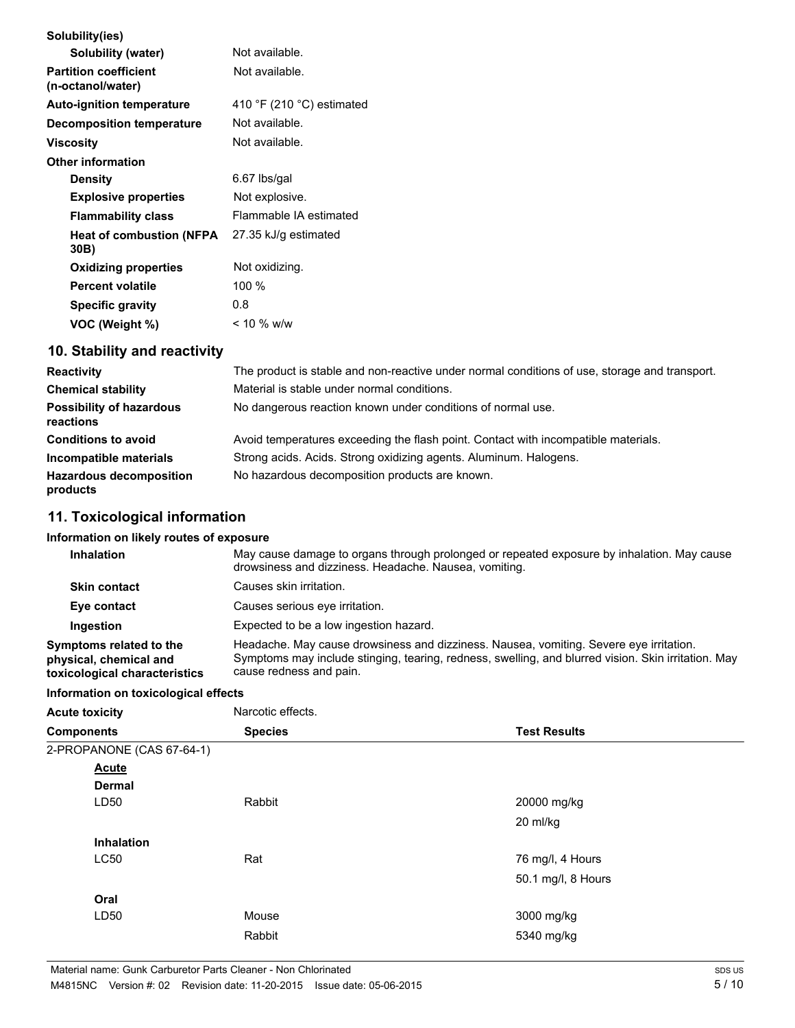| Solubility(ies)                                   |                           |
|---------------------------------------------------|---------------------------|
| Solubility (water)                                | Not available.            |
| <b>Partition coefficient</b><br>(n-octanol/water) | Not available.            |
| <b>Auto-ignition temperature</b>                  | 410 °F (210 °C) estimated |
| <b>Decomposition temperature</b>                  | Not available.            |
| Viscosity                                         | Not available.            |
| <b>Other information</b>                          |                           |
| <b>Density</b>                                    | 6.67 lbs/gal              |
| <b>Explosive properties</b>                       | Not explosive.            |
| <b>Flammability class</b>                         | Flammable IA estimated    |
| <b>Heat of combustion (NFPA)</b><br>30B)          | 27.35 kJ/g estimated      |
| <b>Oxidizing properties</b>                       | Not oxidizing.            |
| <b>Percent volatile</b>                           | 100 $%$                   |
| <b>Specific gravity</b>                           | 0.8                       |
| VOC (Weight %)                                    | $< 10 \%$ w/w             |
|                                                   |                           |

# **10. Stability and reactivity**

| <b>Reactivity</b>                            | The product is stable and non-reactive under normal conditions of use, storage and transport. |
|----------------------------------------------|-----------------------------------------------------------------------------------------------|
| <b>Chemical stability</b>                    | Material is stable under normal conditions.                                                   |
| <b>Possibility of hazardous</b><br>reactions | No dangerous reaction known under conditions of normal use.                                   |
| <b>Conditions to avoid</b>                   | Avoid temperatures exceeding the flash point. Contact with incompatible materials.            |
| Incompatible materials                       | Strong acids. Acids. Strong oxidizing agents. Aluminum. Halogens.                             |
| <b>Hazardous decomposition</b><br>products   | No hazardous decomposition products are known.                                                |

# **11. Toxicological information**

### **Information on likely routes of exposure**

| <b>Inhalation</b>                                                                  | May cause damage to organs through prolonged or repeated exposure by inhalation. May cause<br>drowsiness and dizziness. Headache. Nausea, vomiting.                                                                      |
|------------------------------------------------------------------------------------|--------------------------------------------------------------------------------------------------------------------------------------------------------------------------------------------------------------------------|
| <b>Skin contact</b>                                                                | Causes skin irritation.                                                                                                                                                                                                  |
| Eye contact                                                                        | Causes serious eve irritation.                                                                                                                                                                                           |
| Ingestion                                                                          | Expected to be a low ingestion hazard.                                                                                                                                                                                   |
| Symptoms related to the<br>physical, chemical and<br>toxicological characteristics | Headache. May cause drowsiness and dizziness. Nausea, vomiting. Severe eye irritation.<br>Symptoms may include stinging, tearing, redness, swelling, and blurred vision. Skin irritation. May<br>cause redness and pain. |

### **Information on toxicological effects**

| <b>Acute toxicity</b>     | Narcotic effects. |                     |
|---------------------------|-------------------|---------------------|
| <b>Components</b>         | <b>Species</b>    | <b>Test Results</b> |
| 2-PROPANONE (CAS 67-64-1) |                   |                     |
| <b>Acute</b>              |                   |                     |
| <b>Dermal</b>             |                   |                     |
| LD50                      | Rabbit            | 20000 mg/kg         |
|                           |                   | 20 ml/kg            |
| <b>Inhalation</b>         |                   |                     |
| LC50                      | Rat               | 76 mg/l, 4 Hours    |
|                           |                   | 50.1 mg/l, 8 Hours  |
| Oral                      |                   |                     |
| LD50                      | Mouse             | 3000 mg/kg          |
|                           | Rabbit            | 5340 mg/kg          |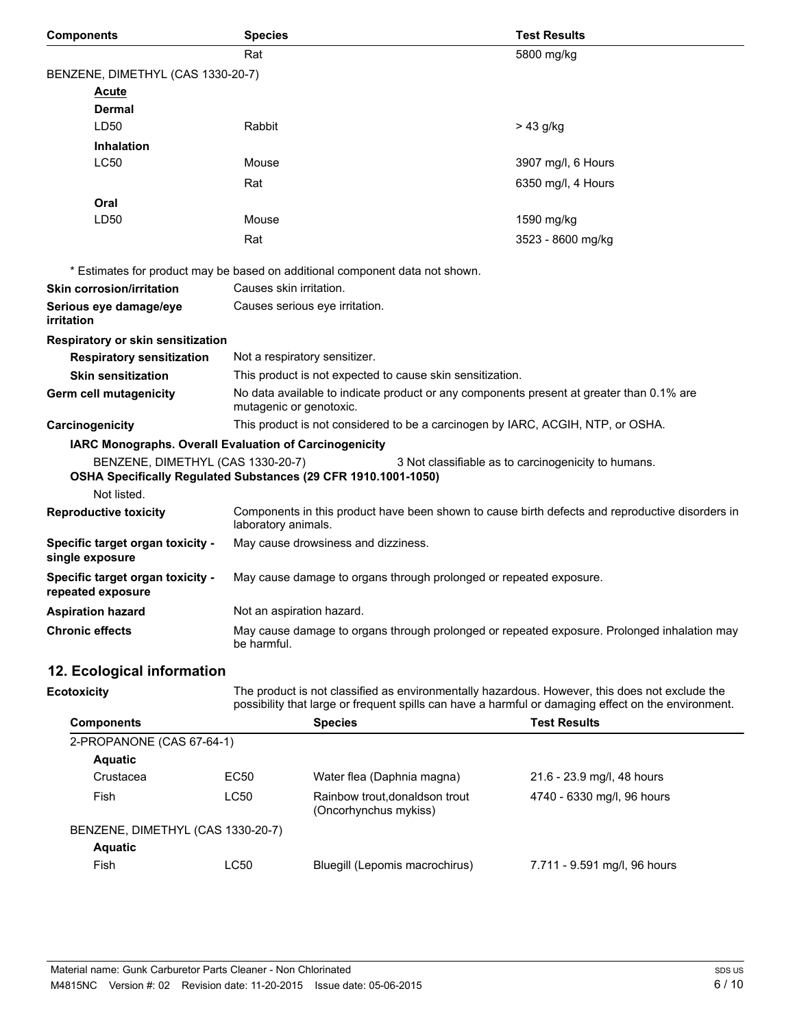| <b>Components</b>                                     | <b>Species</b>                                                                                                                                                                                        | <b>Test Results</b>                                                             |  |
|-------------------------------------------------------|-------------------------------------------------------------------------------------------------------------------------------------------------------------------------------------------------------|---------------------------------------------------------------------------------|--|
|                                                       | Rat                                                                                                                                                                                                   | 5800 mg/kg                                                                      |  |
| BENZENE, DIMETHYL (CAS 1330-20-7)                     |                                                                                                                                                                                                       |                                                                                 |  |
| Acute                                                 |                                                                                                                                                                                                       |                                                                                 |  |
| Dermal                                                |                                                                                                                                                                                                       |                                                                                 |  |
| LD50                                                  | Rabbit                                                                                                                                                                                                | > 43 g/kg                                                                       |  |
| <b>Inhalation</b>                                     |                                                                                                                                                                                                       |                                                                                 |  |
| <b>LC50</b>                                           | Mouse                                                                                                                                                                                                 | 3907 mg/l, 6 Hours                                                              |  |
|                                                       | Rat                                                                                                                                                                                                   | 6350 mg/l, 4 Hours                                                              |  |
| Oral                                                  |                                                                                                                                                                                                       |                                                                                 |  |
| LD50                                                  | Mouse                                                                                                                                                                                                 | 1590 mg/kg                                                                      |  |
|                                                       | Rat                                                                                                                                                                                                   | 3523 - 8600 mg/kg                                                               |  |
|                                                       | * Estimates for product may be based on additional component data not shown.                                                                                                                          |                                                                                 |  |
| <b>Skin corrosion/irritation</b>                      | Causes skin irritation.                                                                                                                                                                               |                                                                                 |  |
| Serious eye damage/eye<br>irritation                  | Causes serious eye irritation.                                                                                                                                                                        |                                                                                 |  |
| Respiratory or skin sensitization                     |                                                                                                                                                                                                       |                                                                                 |  |
| <b>Respiratory sensitization</b>                      | Not a respiratory sensitizer.                                                                                                                                                                         |                                                                                 |  |
| <b>Skin sensitization</b>                             | This product is not expected to cause skin sensitization.                                                                                                                                             |                                                                                 |  |
| Germ cell mutagenicity                                | No data available to indicate product or any components present at greater than 0.1% are<br>mutagenic or genotoxic.                                                                                   |                                                                                 |  |
| Carcinogenicity                                       |                                                                                                                                                                                                       | This product is not considered to be a carcinogen by IARC, ACGIH, NTP, or OSHA. |  |
|                                                       | IARC Monographs. Overall Evaluation of Carcinogenicity                                                                                                                                                |                                                                                 |  |
| BENZENE, DIMETHYL (CAS 1330-20-7)<br>Not listed.      | OSHA Specifically Regulated Substances (29 CFR 1910.1001-1050)                                                                                                                                        | 3 Not classifiable as to carcinogenicity to humans.                             |  |
| <b>Reproductive toxicity</b>                          | Components in this product have been shown to cause birth defects and reproductive disorders in<br>laboratory animals.                                                                                |                                                                                 |  |
| Specific target organ toxicity -<br>single exposure   | May cause drowsiness and dizziness.                                                                                                                                                                   |                                                                                 |  |
| Specific target organ toxicity -<br>repeated exposure | May cause damage to organs through prolonged or repeated exposure.                                                                                                                                    |                                                                                 |  |
| <b>Aspiration hazard</b>                              | Not an aspiration hazard.                                                                                                                                                                             |                                                                                 |  |
| <b>Chronic effects</b>                                | May cause damage to organs through prolonged or repeated exposure. Prolonged inhalation may<br>be harmful.                                                                                            |                                                                                 |  |
| 12. Ecological information                            |                                                                                                                                                                                                       |                                                                                 |  |
| <b>Ecotoxicity</b>                                    | The product is not classified as environmentally hazardous. However, this does not exclude the<br>possibility that large or frequent spills can have a harmful or damaging effect on the environment. |                                                                                 |  |
| <b>Components</b>                                     | <b>Species</b>                                                                                                                                                                                        | <b>Test Results</b>                                                             |  |
| 2-PROPANONE (CAS 67-64-1)                             |                                                                                                                                                                                                       |                                                                                 |  |

| 2-PROPANONE (CAS 67-64-1)         |      |                                                         |                              |  |
|-----------------------------------|------|---------------------------------------------------------|------------------------------|--|
| <b>Aquatic</b>                    |      |                                                         |                              |  |
| Crustacea                         | EC50 | Water flea (Daphnia magna)                              | 21.6 - 23.9 mg/l, 48 hours   |  |
| Fish                              | LC50 | Rainbow trout, donaldson trout<br>(Oncorhynchus mykiss) | 4740 - 6330 mg/l, 96 hours   |  |
| BENZENE, DIMETHYL (CAS 1330-20-7) |      |                                                         |                              |  |
| <b>Aquatic</b>                    |      |                                                         |                              |  |
| Fish                              | LC50 | Bluegill (Lepomis macrochirus)                          | 7.711 - 9.591 mg/l, 96 hours |  |
|                                   |      |                                                         |                              |  |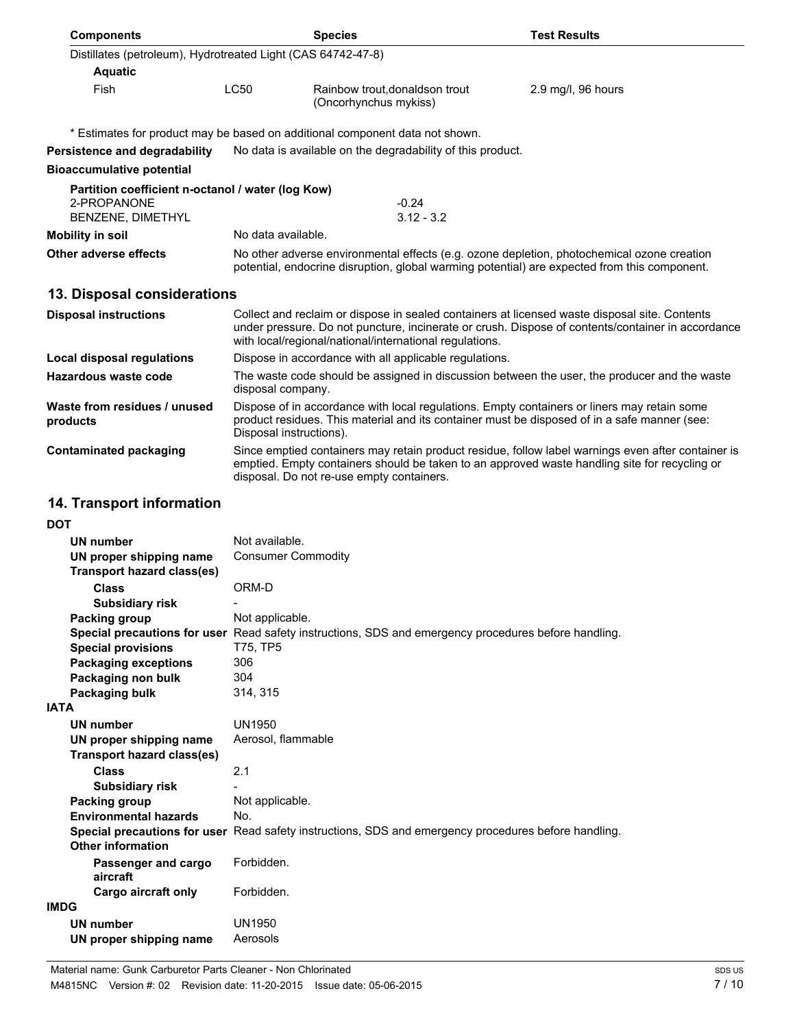| <b>Components</b>                                            |                                                                                                                                                                                                                                                               | <b>Species</b>                                                                                       | <b>Test Results</b>                                                                                                                                                                                 |  |  |
|--------------------------------------------------------------|---------------------------------------------------------------------------------------------------------------------------------------------------------------------------------------------------------------------------------------------------------------|------------------------------------------------------------------------------------------------------|-----------------------------------------------------------------------------------------------------------------------------------------------------------------------------------------------------|--|--|
| Distillates (petroleum), Hydrotreated Light (CAS 64742-47-8) |                                                                                                                                                                                                                                                               |                                                                                                      |                                                                                                                                                                                                     |  |  |
| <b>Aquatic</b>                                               |                                                                                                                                                                                                                                                               |                                                                                                      |                                                                                                                                                                                                     |  |  |
| <b>Fish</b>                                                  | <b>LC50</b>                                                                                                                                                                                                                                                   | Rainbow trout, donaldson trout<br>(Oncorhynchus mykiss)                                              | 2.9 mg/l, 96 hours                                                                                                                                                                                  |  |  |
|                                                              |                                                                                                                                                                                                                                                               | * Estimates for product may be based on additional component data not shown.                         |                                                                                                                                                                                                     |  |  |
| Persistence and degradability                                |                                                                                                                                                                                                                                                               | No data is available on the degradability of this product.                                           |                                                                                                                                                                                                     |  |  |
| <b>Bioaccumulative potential</b>                             |                                                                                                                                                                                                                                                               |                                                                                                      |                                                                                                                                                                                                     |  |  |
| Partition coefficient n-octanol / water (log Kow)            |                                                                                                                                                                                                                                                               |                                                                                                      |                                                                                                                                                                                                     |  |  |
| 2-PROPANONE<br><b>BENZENE, DIMETHYL</b>                      |                                                                                                                                                                                                                                                               | $-0.24$<br>$3.12 - 3.2$                                                                              |                                                                                                                                                                                                     |  |  |
| <b>Mobility in soil</b>                                      |                                                                                                                                                                                                                                                               | No data available.                                                                                   |                                                                                                                                                                                                     |  |  |
| Other adverse effects                                        | No other adverse environmental effects (e.g. ozone depletion, photochemical ozone creation<br>potential, endocrine disruption, global warming potential) are expected from this component.                                                                    |                                                                                                      |                                                                                                                                                                                                     |  |  |
|                                                              |                                                                                                                                                                                                                                                               |                                                                                                      |                                                                                                                                                                                                     |  |  |
| 13. Disposal considerations                                  |                                                                                                                                                                                                                                                               |                                                                                                      |                                                                                                                                                                                                     |  |  |
| <b>Disposal instructions</b>                                 | Collect and reclaim or dispose in sealed containers at licensed waste disposal site. Contents<br>under pressure. Do not puncture, incinerate or crush. Dispose of contents/container in accordance<br>with local/regional/national/international regulations. |                                                                                                      |                                                                                                                                                                                                     |  |  |
| Local disposal regulations                                   |                                                                                                                                                                                                                                                               | Dispose in accordance with all applicable regulations.                                               |                                                                                                                                                                                                     |  |  |
| Hazardous waste code                                         | The waste code should be assigned in discussion between the user, the producer and the waste<br>disposal company.                                                                                                                                             |                                                                                                      |                                                                                                                                                                                                     |  |  |
| Waste from residues / unused<br>products                     | Dispose of in accordance with local regulations. Empty containers or liners may retain some<br>product residues. This material and its container must be disposed of in a safe manner (see:<br>Disposal instructions).                                        |                                                                                                      |                                                                                                                                                                                                     |  |  |
| <b>Contaminated packaging</b>                                |                                                                                                                                                                                                                                                               | disposal. Do not re-use empty containers.                                                            | Since emptied containers may retain product residue, follow label warnings even after container is<br>emptied. Empty containers should be taken to an approved waste handling site for recycling or |  |  |
| 14. Transport information                                    |                                                                                                                                                                                                                                                               |                                                                                                      |                                                                                                                                                                                                     |  |  |
| <b>DOT</b>                                                   |                                                                                                                                                                                                                                                               |                                                                                                      |                                                                                                                                                                                                     |  |  |
| UN number                                                    | Not available.                                                                                                                                                                                                                                                |                                                                                                      |                                                                                                                                                                                                     |  |  |
| UN proper shipping name<br><b>Transport hazard class(es)</b> | <b>Consumer Commodity</b>                                                                                                                                                                                                                                     |                                                                                                      |                                                                                                                                                                                                     |  |  |
| <b>Class</b>                                                 | ORM-D                                                                                                                                                                                                                                                         |                                                                                                      |                                                                                                                                                                                                     |  |  |
| <b>Subsidiary risk</b>                                       |                                                                                                                                                                                                                                                               |                                                                                                      |                                                                                                                                                                                                     |  |  |
| <b>Packing group</b>                                         | Not applicable.                                                                                                                                                                                                                                               | Special precautions for user Read safety instructions, SDS and emergency procedures before handling. |                                                                                                                                                                                                     |  |  |
| <b>Special provisions</b><br><b>Packaging exceptions</b>     | T75, TP5<br>306                                                                                                                                                                                                                                               |                                                                                                      |                                                                                                                                                                                                     |  |  |
| Packaging non bulk                                           | 304                                                                                                                                                                                                                                                           |                                                                                                      |                                                                                                                                                                                                     |  |  |
| Packaging bulk                                               | 314, 315                                                                                                                                                                                                                                                      |                                                                                                      |                                                                                                                                                                                                     |  |  |
| <b>IATA</b>                                                  |                                                                                                                                                                                                                                                               |                                                                                                      |                                                                                                                                                                                                     |  |  |
| <b>UN number</b>                                             | <b>UN1950</b>                                                                                                                                                                                                                                                 |                                                                                                      |                                                                                                                                                                                                     |  |  |
| UN proper shipping name<br><b>Transport hazard class(es)</b> | Aerosol, flammable                                                                                                                                                                                                                                            |                                                                                                      |                                                                                                                                                                                                     |  |  |
| <b>Class</b><br><b>Subsidiary risk</b>                       | 2.1                                                                                                                                                                                                                                                           |                                                                                                      |                                                                                                                                                                                                     |  |  |
| <b>Packing group</b>                                         | Not applicable.                                                                                                                                                                                                                                               |                                                                                                      |                                                                                                                                                                                                     |  |  |
| <b>Environmental hazards</b>                                 | No.                                                                                                                                                                                                                                                           |                                                                                                      |                                                                                                                                                                                                     |  |  |
| <b>Other information</b>                                     |                                                                                                                                                                                                                                                               | Special precautions for user Read safety instructions, SDS and emergency procedures before handling. |                                                                                                                                                                                                     |  |  |
| Passenger and cargo<br>aircraft                              | Forbidden.                                                                                                                                                                                                                                                    |                                                                                                      |                                                                                                                                                                                                     |  |  |
| Cargo aircraft only                                          | Forbidden.                                                                                                                                                                                                                                                    |                                                                                                      |                                                                                                                                                                                                     |  |  |
| <b>IMDG</b>                                                  |                                                                                                                                                                                                                                                               |                                                                                                      |                                                                                                                                                                                                     |  |  |
| <b>UN number</b>                                             | <b>UN1950</b>                                                                                                                                                                                                                                                 |                                                                                                      |                                                                                                                                                                                                     |  |  |
| UN proper shipping name                                      | Aerosols                                                                                                                                                                                                                                                      |                                                                                                      |                                                                                                                                                                                                     |  |  |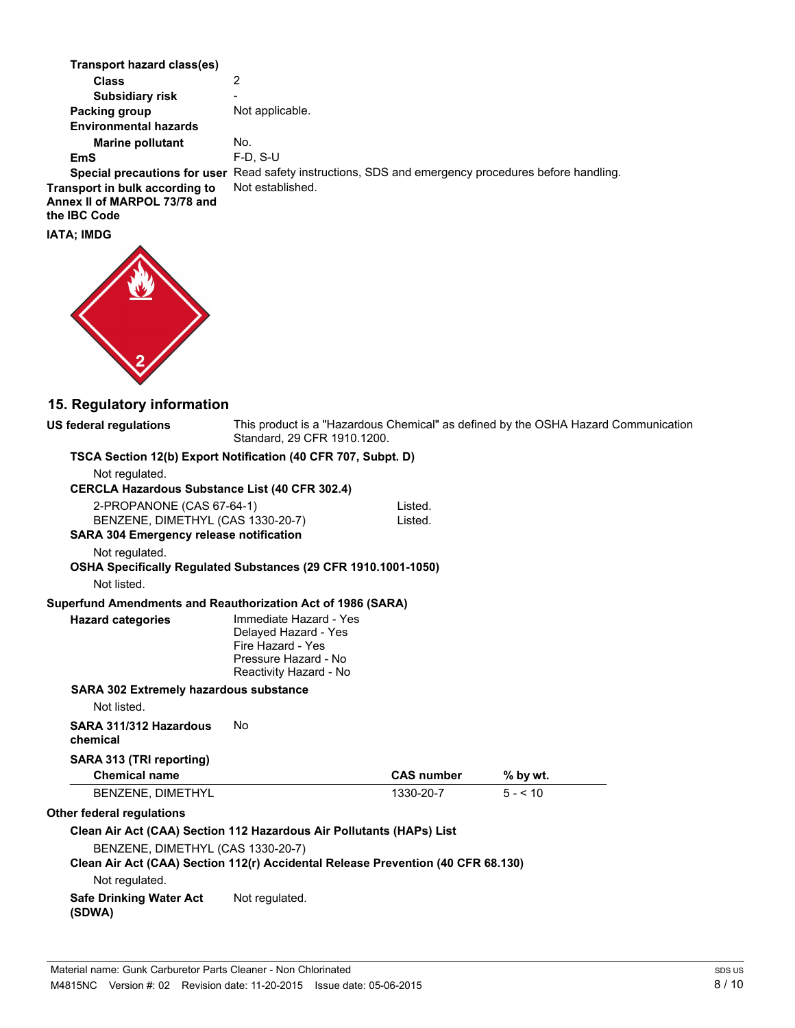| <b>Transport hazard class(es)</b>                                                                                                                                                      |                                                                                                                       |                    |                                                                                    |
|----------------------------------------------------------------------------------------------------------------------------------------------------------------------------------------|-----------------------------------------------------------------------------------------------------------------------|--------------------|------------------------------------------------------------------------------------|
| <b>Class</b>                                                                                                                                                                           | 2                                                                                                                     |                    |                                                                                    |
| <b>Subsidiary risk</b>                                                                                                                                                                 |                                                                                                                       |                    |                                                                                    |
| <b>Packing group</b>                                                                                                                                                                   | Not applicable.                                                                                                       |                    |                                                                                    |
| <b>Environmental hazards</b>                                                                                                                                                           |                                                                                                                       |                    |                                                                                    |
| <b>Marine pollutant</b>                                                                                                                                                                | No.                                                                                                                   |                    |                                                                                    |
| EmS                                                                                                                                                                                    | $F-D, S-U$                                                                                                            |                    |                                                                                    |
| Special precautions for user Read safety instructions, SDS and emergency procedures before handling.<br>Transport in bulk according to<br>Annex II of MARPOL 73/78 and<br>the IBC Code | Not established.                                                                                                      |                    |                                                                                    |
| <b>IATA; IMDG</b>                                                                                                                                                                      |                                                                                                                       |                    |                                                                                    |
|                                                                                                                                                                                        |                                                                                                                       |                    |                                                                                    |
| 15. Regulatory information<br><b>US federal regulations</b>                                                                                                                            |                                                                                                                       |                    | This product is a "Hazardous Chemical" as defined by the OSHA Hazard Communication |
|                                                                                                                                                                                        | Standard, 29 CFR 1910.1200.                                                                                           |                    |                                                                                    |
| TSCA Section 12(b) Export Notification (40 CFR 707, Subpt. D)                                                                                                                          |                                                                                                                       |                    |                                                                                    |
| Not regulated.                                                                                                                                                                         |                                                                                                                       |                    |                                                                                    |
| <b>CERCLA Hazardous Substance List (40 CFR 302.4)</b>                                                                                                                                  |                                                                                                                       |                    |                                                                                    |
| 2-PROPANONE (CAS 67-64-1)<br>BENZENE, DIMETHYL (CAS 1330-20-7)<br><b>SARA 304 Emergency release notification</b>                                                                       |                                                                                                                       | Listed.<br>Listed. |                                                                                    |
| Not regulated.                                                                                                                                                                         |                                                                                                                       |                    |                                                                                    |
| OSHA Specifically Regulated Substances (29 CFR 1910.1001-1050)<br>Not listed.                                                                                                          |                                                                                                                       |                    |                                                                                    |
| Superfund Amendments and Reauthorization Act of 1986 (SARA)                                                                                                                            |                                                                                                                       |                    |                                                                                    |
| <b>Hazard categories</b>                                                                                                                                                               | Immediate Hazard - Yes<br>Delayed Hazard - Yes<br>Fire Hazard - Yes<br>Pressure Hazard - No<br>Reactivity Hazard - No |                    |                                                                                    |
| SARA 302 Extremely hazardous substance                                                                                                                                                 |                                                                                                                       |                    |                                                                                    |
| Not listed.                                                                                                                                                                            |                                                                                                                       |                    |                                                                                    |
| SARA 311/312 Hazardous<br>chemical                                                                                                                                                     | No                                                                                                                    |                    |                                                                                    |
| SARA 313 (TRI reporting)<br><b>Chemical name</b>                                                                                                                                       |                                                                                                                       | <b>CAS number</b>  | % by wt.                                                                           |
| <b>BENZENE, DIMETHYL</b>                                                                                                                                                               |                                                                                                                       | 1330-20-7          | $5 - 10$                                                                           |
| Other federal regulations                                                                                                                                                              |                                                                                                                       |                    |                                                                                    |
| Clean Air Act (CAA) Section 112 Hazardous Air Pollutants (HAPs) List                                                                                                                   |                                                                                                                       |                    |                                                                                    |
| BENZENE, DIMETHYL (CAS 1330-20-7)<br>Clean Air Act (CAA) Section 112(r) Accidental Release Prevention (40 CFR 68.130)                                                                  |                                                                                                                       |                    |                                                                                    |
| Not regulated.                                                                                                                                                                         |                                                                                                                       |                    |                                                                                    |
| <b>Safe Drinking Water Act</b><br>(SDWA)                                                                                                                                               | Not regulated.                                                                                                        |                    |                                                                                    |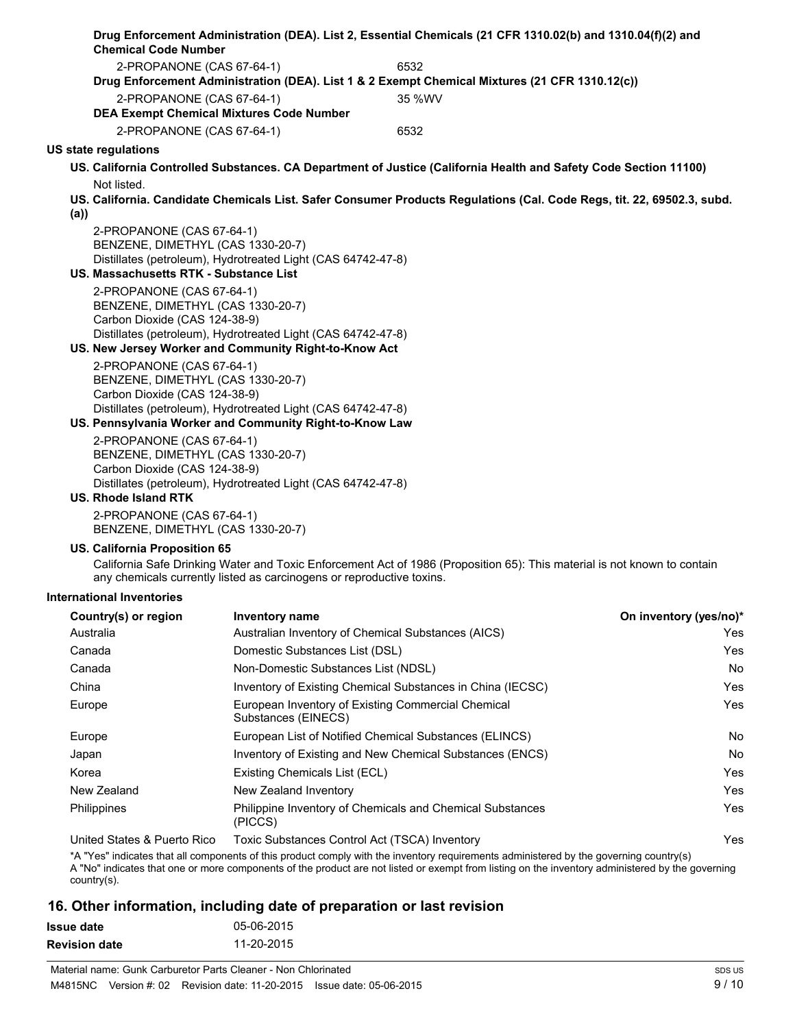|                                                         |                                                                       | Drug Enforcement Administration (DEA). List 2, Essential Chemicals (21 CFR 1310.02(b) and 1310.04(f)(2) and              |                        |
|---------------------------------------------------------|-----------------------------------------------------------------------|--------------------------------------------------------------------------------------------------------------------------|------------------------|
| <b>Chemical Code Number</b>                             |                                                                       |                                                                                                                          |                        |
| 2-PROPANONE (CAS 67-64-1)                               |                                                                       | 6532                                                                                                                     |                        |
|                                                         |                                                                       | Drug Enforcement Administration (DEA). List 1 & 2 Exempt Chemical Mixtures (21 CFR 1310.12(c))                           |                        |
| 2-PROPANONE (CAS 67-64-1)                               | <b>DEA Exempt Chemical Mixtures Code Number</b>                       | 35 %WV                                                                                                                   |                        |
| 2-PROPANONE (CAS 67-64-1)                               |                                                                       | 6532                                                                                                                     |                        |
| US state regulations                                    |                                                                       |                                                                                                                          |                        |
|                                                         |                                                                       | US. California Controlled Substances. CA Department of Justice (California Health and Safety Code Section 11100)         |                        |
| Not listed.                                             |                                                                       |                                                                                                                          |                        |
|                                                         |                                                                       | US. California. Candidate Chemicals List. Safer Consumer Products Regulations (Cal. Code Regs, tit. 22, 69502.3, subd.   |                        |
| (a)                                                     |                                                                       |                                                                                                                          |                        |
| 2-PROPANONE (CAS 67-64-1)                               |                                                                       |                                                                                                                          |                        |
| BENZENE, DIMETHYL (CAS 1330-20-7)                       | Distillates (petroleum), Hydrotreated Light (CAS 64742-47-8)          |                                                                                                                          |                        |
| US. Massachusetts RTK - Substance List                  |                                                                       |                                                                                                                          |                        |
| 2-PROPANONE (CAS 67-64-1)                               |                                                                       |                                                                                                                          |                        |
| BENZENE, DIMETHYL (CAS 1330-20-7)                       |                                                                       |                                                                                                                          |                        |
| Carbon Dioxide (CAS 124-38-9)                           | Distillates (petroleum), Hydrotreated Light (CAS 64742-47-8)          |                                                                                                                          |                        |
| US. New Jersey Worker and Community Right-to-Know Act   |                                                                       |                                                                                                                          |                        |
| 2-PROPANONE (CAS 67-64-1)                               |                                                                       |                                                                                                                          |                        |
| BENZENE, DIMETHYL (CAS 1330-20-7)                       |                                                                       |                                                                                                                          |                        |
| Carbon Dioxide (CAS 124-38-9)                           |                                                                       |                                                                                                                          |                        |
| US. Pennsylvania Worker and Community Right-to-Know Law | Distillates (petroleum), Hydrotreated Light (CAS 64742-47-8)          |                                                                                                                          |                        |
| 2-PROPANONE (CAS 67-64-1)                               |                                                                       |                                                                                                                          |                        |
| BENZENE, DIMETHYL (CAS 1330-20-7)                       |                                                                       |                                                                                                                          |                        |
| Carbon Dioxide (CAS 124-38-9)                           |                                                                       |                                                                                                                          |                        |
| US. Rhode Island RTK                                    | Distillates (petroleum), Hydrotreated Light (CAS 64742-47-8)          |                                                                                                                          |                        |
| 2-PROPANONE (CAS 67-64-1)                               |                                                                       |                                                                                                                          |                        |
| BENZENE, DIMETHYL (CAS 1330-20-7)                       |                                                                       |                                                                                                                          |                        |
| US. California Proposition 65                           |                                                                       |                                                                                                                          |                        |
|                                                         | any chemicals currently listed as carcinogens or reproductive toxins. | California Safe Drinking Water and Toxic Enforcement Act of 1986 (Proposition 65): This material is not known to contain |                        |
| International Inventories                               |                                                                       |                                                                                                                          |                        |
| Country(s) or region                                    | <b>Inventory name</b>                                                 |                                                                                                                          | On inventory (yes/no)* |
| Australia                                               |                                                                       | Australian Inventory of Chemical Substances (AICS)                                                                       | Yes                    |
| Canada                                                  | Domestic Substances List (DSL)                                        |                                                                                                                          | Yes                    |
| Canada                                                  | Non-Domestic Substances List (NDSL)                                   |                                                                                                                          | No                     |
| China                                                   |                                                                       | Inventory of Existing Chemical Substances in China (IECSC)                                                               | Yes                    |
| Europe                                                  | Substances (EINECS)                                                   | European Inventory of Existing Commercial Chemical                                                                       | Yes                    |
| Europe                                                  |                                                                       | European List of Notified Chemical Substances (ELINCS)                                                                   | No                     |
| Japan                                                   |                                                                       | Inventory of Existing and New Chemical Substances (ENCS)                                                                 | No                     |
| Korea                                                   | Existing Chemicals List (ECL)                                         |                                                                                                                          | Yes                    |
| New Zealand                                             | New Zealand Inventory                                                 |                                                                                                                          | Yes                    |
| Philippines                                             | (PICCS)                                                               | Philippine Inventory of Chemicals and Chemical Substances                                                                | Yes                    |
| United States & Puerto Rico                             |                                                                       | Toxic Substances Control Act (TSCA) Inventory                                                                            | Yes                    |

\*A "Yes" indicates that all components of this product comply with the inventory requirements administered by the governing country(s)

A "No" indicates that one or more components of the product are not listed or exempt from listing on the inventory administered by the governing country(s).

### **16. Other information, including date of preparation or last revision**

| Issue date    | 05-06-2015 |
|---------------|------------|
| Revision date | 11-20-2015 |